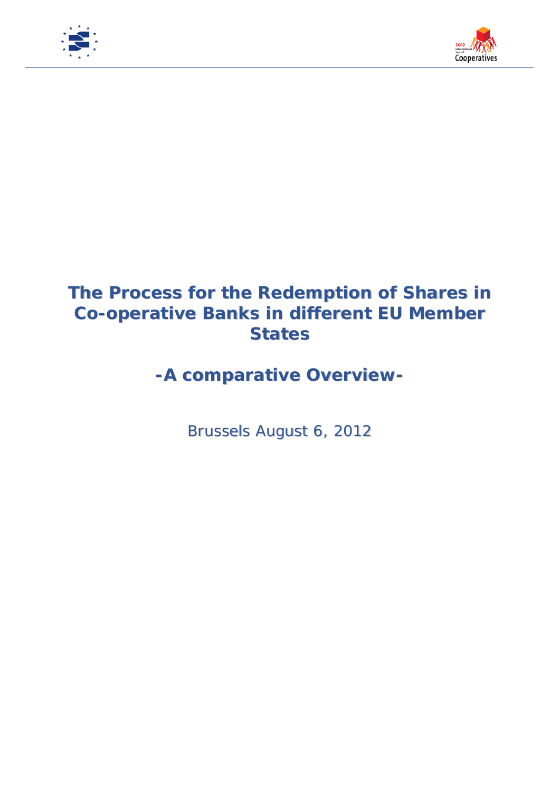



## **The Process for the Redemption of Shares in Co-operative Banks in different EU Member States**

## *-A comparative Overview-*

Brussels August 6, 2012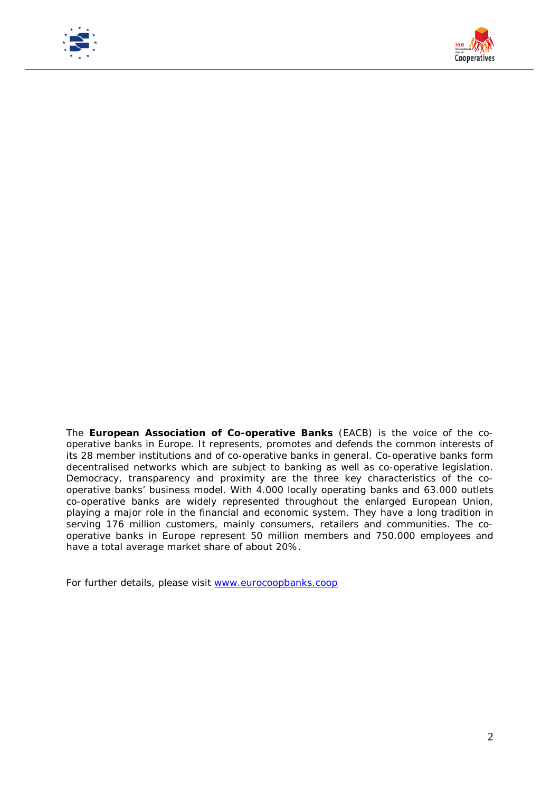



The **European Association of Co-operative Banks** (EACB) is the voice of the cooperative banks in Europe. It represents, promotes and defends the common interests of its 28 member institutions and of co-operative banks in general. Co-operative banks form decentralised networks which are subject to banking as well as co-operative legislation. Democracy, transparency and proximity are the three key characteristics of the cooperative banks' business model. With 4.000 locally operating banks and 63.000 outlets co-operative banks are widely represented throughout the enlarged European Union, playing a major role in the financial and economic system. They have a long tradition in serving 176 million customers, mainly consumers, retailers and communities. The cooperative banks in Europe represent 50 million members and 750.000 employees and have a total average market share of about 20%.

For further details, please visit [www.eurocoopbanks.coop](http://www.eurocoopbanks.coop/)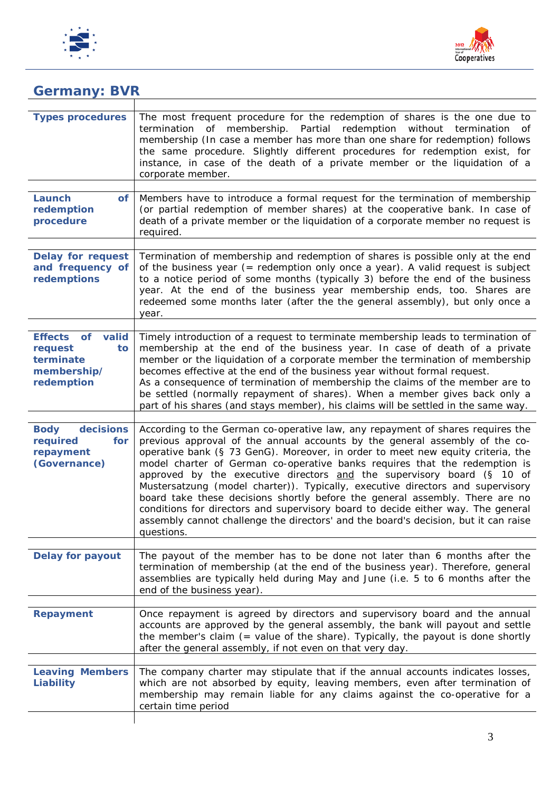



| <b>Germany: BVR</b>                                                            |                                                                                                                                                                                                                                                                                                                                                                                                                                                                                                                                                                                                                                                                                                                                                                     |  |
|--------------------------------------------------------------------------------|---------------------------------------------------------------------------------------------------------------------------------------------------------------------------------------------------------------------------------------------------------------------------------------------------------------------------------------------------------------------------------------------------------------------------------------------------------------------------------------------------------------------------------------------------------------------------------------------------------------------------------------------------------------------------------------------------------------------------------------------------------------------|--|
| <b>Types procedures</b>                                                        | The most frequent procedure for the redemption of shares is the one due to<br>termination of membership. Partial redemption without termination<br>of<br>membership (In case a member has more than one share for redemption) follows<br>the same procedure. Slightly different procedures for redemption exist, for<br>instance, in case of the death of a private member or the liquidation of a<br>corporate member.                                                                                                                                                                                                                                                                                                                                             |  |
| Launch<br>of<br>redemption<br>procedure                                        | Members have to introduce a formal request for the termination of membership<br>(or partial redemption of member shares) at the cooperative bank. In case of<br>death of a private member or the liquidation of a corporate member no request is<br>required.                                                                                                                                                                                                                                                                                                                                                                                                                                                                                                       |  |
| <b>Delay for request</b><br>and frequency of<br>redemptions                    | Termination of membership and redemption of shares is possible only at the end<br>of the business year (= redemption only once a year). A valid request is subject<br>to a notice period of some months (typically 3) before the end of the business<br>year. At the end of the business year membership ends, too. Shares are<br>redeemed some months later (after the the general assembly), but only once a<br>year.                                                                                                                                                                                                                                                                                                                                             |  |
| Effects of<br>valid<br>request<br>to<br>terminate<br>membership/<br>redemption | Timely introduction of a request to terminate membership leads to termination of<br>membership at the end of the business year. In case of death of a private<br>member or the liquidation of a corporate member the termination of membership<br>becomes effective at the end of the business year without formal request.<br>As a consequence of termination of membership the claims of the member are to<br>be settled (normally repayment of shares). When a member gives back only a<br>part of his shares (and stays member), his claims will be settled in the same way.                                                                                                                                                                                    |  |
| decisions<br><b>Body</b><br>required<br>for<br>repayment<br>(Governance)       | According to the German co-operative law, any repayment of shares requires the<br>previous approval of the annual accounts by the general assembly of the co-<br>operative bank (§ 73 GenG). Moreover, in order to meet new equity criteria, the<br>model charter of German co-operative banks requires that the redemption is<br>approved by the executive directors and the supervisory board (§ 10 of<br>Mustersatzung (model charter)). Typically, executive directors and supervisory<br>board take these decisions shortly before the general assembly. There are no<br>conditions for directors and supervisory board to decide either way. The general<br>assembly cannot challenge the directors' and the board's decision, but it can raise<br>questions. |  |
| <b>Delay for payout</b>                                                        | The payout of the member has to be done not later than 6 months after the<br>termination of membership (at the end of the business year). Therefore, general<br>assemblies are typically held during May and June (i.e. 5 to 6 months after the<br>end of the business year).                                                                                                                                                                                                                                                                                                                                                                                                                                                                                       |  |
| <b>Repayment</b>                                                               | Once repayment is agreed by directors and supervisory board and the annual<br>accounts are approved by the general assembly, the bank will payout and settle<br>the member's claim (= value of the share). Typically, the payout is done shortly<br>after the general assembly, if not even on that very day.                                                                                                                                                                                                                                                                                                                                                                                                                                                       |  |
| <b>Leaving Members</b><br>Liability                                            | The company charter may stipulate that if the annual accounts indicates losses,<br>which are not absorbed by equity, leaving members, even after termination of<br>membership may remain liable for any claims against the co-operative for a<br>certain time period                                                                                                                                                                                                                                                                                                                                                                                                                                                                                                |  |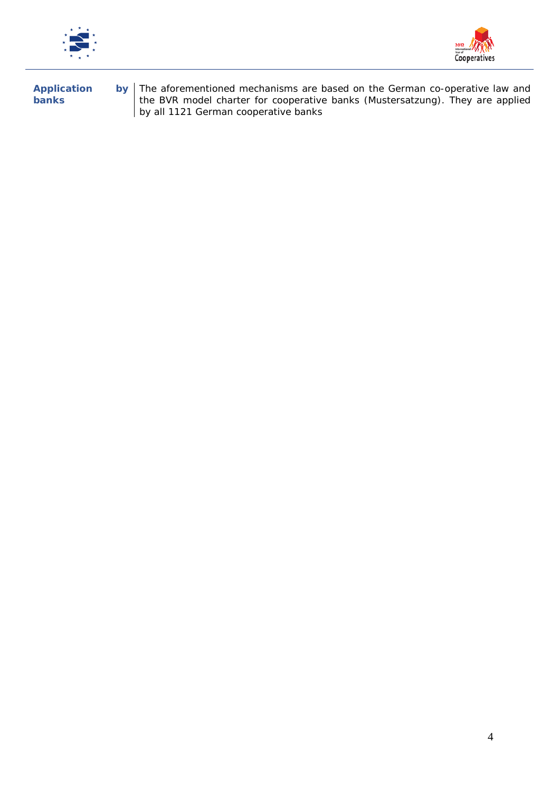



**Application by banks** The aforementioned mechanisms are based on the German co-operative law and the BVR model charter for cooperative banks (Mustersatzung). They are applied by all 1121 German cooperative banks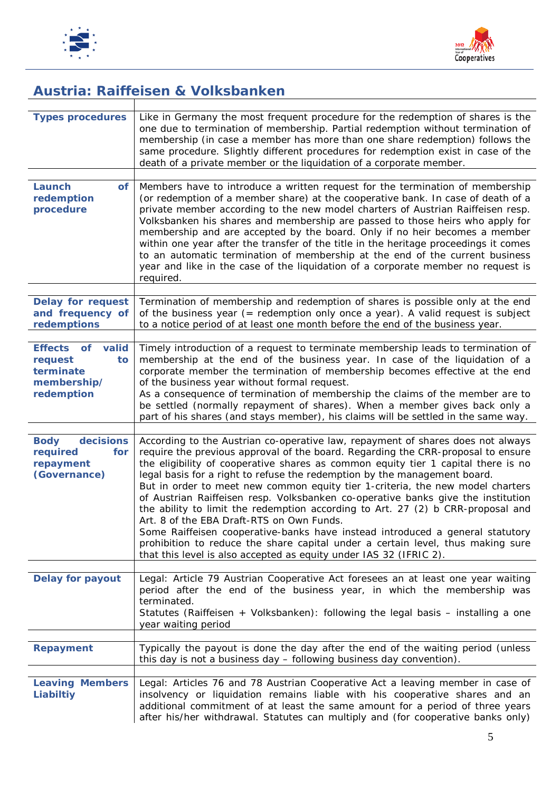



## *Austria: Raiffeisen & Volksbanken*

| <b>Types procedures</b>                                                        | Like in Germany the most frequent procedure for the redemption of shares is the<br>one due to termination of membership. Partial redemption without termination of<br>membership (in case a member has more than one share redemption) follows the<br>same procedure. Slightly different procedures for redemption exist in case of the<br>death of a private member or the liquidation of a corporate member.                                                                                                                                                                                                                                                                                                                                                                                                                                                                        |
|--------------------------------------------------------------------------------|---------------------------------------------------------------------------------------------------------------------------------------------------------------------------------------------------------------------------------------------------------------------------------------------------------------------------------------------------------------------------------------------------------------------------------------------------------------------------------------------------------------------------------------------------------------------------------------------------------------------------------------------------------------------------------------------------------------------------------------------------------------------------------------------------------------------------------------------------------------------------------------|
|                                                                                |                                                                                                                                                                                                                                                                                                                                                                                                                                                                                                                                                                                                                                                                                                                                                                                                                                                                                       |
| Launch<br><b>of</b><br>redemption<br>procedure                                 | Members have to introduce a written request for the termination of membership<br>(or redemption of a member share) at the cooperative bank. In case of death of a<br>private member according to the new model charters of Austrian Raiffeisen resp.<br>Volksbanken his shares and membership are passed to those heirs who apply for<br>membership and are accepted by the board. Only if no heir becomes a member<br>within one year after the transfer of the title in the heritage proceedings it comes<br>to an automatic termination of membership at the end of the current business<br>year and like in the case of the liquidation of a corporate member no request is<br>required.                                                                                                                                                                                          |
| <b>Delay for request</b><br>and frequency of<br>redemptions                    | Termination of membership and redemption of shares is possible only at the end<br>of the business year (= redemption only once a year). A valid request is subject<br>to a notice period of at least one month before the end of the business year.                                                                                                                                                                                                                                                                                                                                                                                                                                                                                                                                                                                                                                   |
| Effects of<br>valid<br>request<br>to<br>terminate<br>membership/<br>redemption | Timely introduction of a request to terminate membership leads to termination of<br>membership at the end of the business year. In case of the liquidation of a<br>corporate member the termination of membership becomes effective at the end<br>of the business year without formal request.<br>As a consequence of termination of membership the claims of the member are to<br>be settled (normally repayment of shares). When a member gives back only a<br>part of his shares (and stays member), his claims will be settled in the same way.                                                                                                                                                                                                                                                                                                                                   |
| <b>Body</b><br>decisions<br>required<br>for<br>repayment<br>(Governance)       | According to the Austrian co-operative law, repayment of shares does not always<br>require the previous approval of the board. Regarding the CRR-proposal to ensure<br>the eligibility of cooperative shares as common equity tier 1 capital there is no<br>legal basis for a right to refuse the redemption by the management board.<br>But in order to meet new common equity tier 1-criteria, the new model charters<br>of Austrian Raiffeisen resp. Volksbanken co-operative banks give the institution<br>the ability to limit the redemption according to Art. 27 (2) b CRR-proposal and<br>Art. 8 of the EBA Draft-RTS on Own Funds.<br>Some Raiffeisen cooperative-banks have instead introduced a general statutory<br>prohibition to reduce the share capital under a certain level, thus making sure<br>that this level is also accepted as equity under IAS 32 (IFRIC 2). |
| <b>Delay for payout</b>                                                        | Legal: Article 79 Austrian Cooperative Act foresees an at least one year waiting<br>period after the end of the business year, in which the membership was<br>terminated.<br>Statutes (Raiffeisen + Volksbanken): following the legal basis – installing a one<br>year waiting period                                                                                                                                                                                                                                                                                                                                                                                                                                                                                                                                                                                                 |
| <b>Repayment</b>                                                               | Typically the payout is done the day after the end of the waiting period (unless<br>this day is not a business day - following business day convention).                                                                                                                                                                                                                                                                                                                                                                                                                                                                                                                                                                                                                                                                                                                              |
| <b>Leaving Members</b><br>Liabiltiy                                            | Legal: Articles 76 and 78 Austrian Cooperative Act a leaving member in case of<br>insolvency or liquidation remains liable with his cooperative shares and an<br>additional commitment of at least the same amount for a period of three years<br>after his/her withdrawal. Statutes can multiply and (for cooperative banks only)                                                                                                                                                                                                                                                                                                                                                                                                                                                                                                                                                    |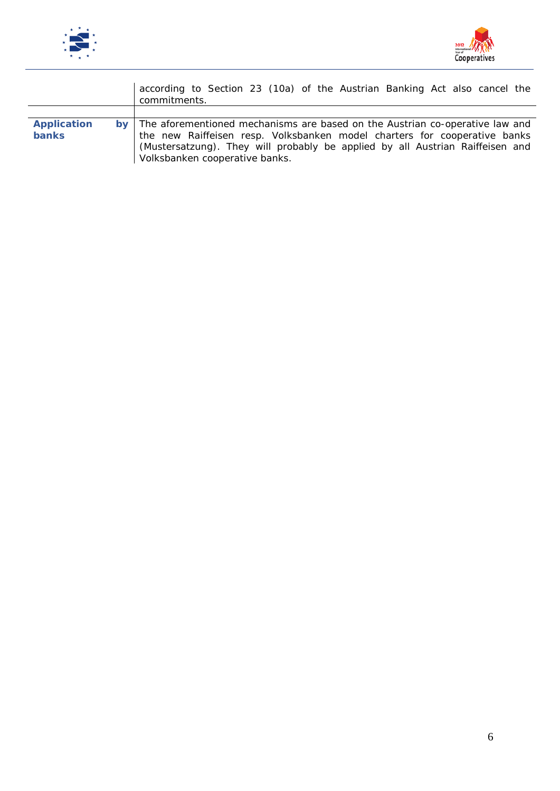



|                                    |               | according to Section 23 (10a) of the Austrian Banking Act also cancel the<br>commitments.                                                                                                                                                                                    |
|------------------------------------|---------------|------------------------------------------------------------------------------------------------------------------------------------------------------------------------------------------------------------------------------------------------------------------------------|
|                                    |               |                                                                                                                                                                                                                                                                              |
| <b>Application</b><br><b>banks</b> | $bv$ $\vdash$ | The aforementioned mechanisms are based on the Austrian co-operative law and<br>the new Raiffeisen resp. Volksbanken model charters for cooperative banks<br>(Mustersatzung). They will probably be applied by all Austrian Raiffeisen and<br>Volksbanken cooperative banks. |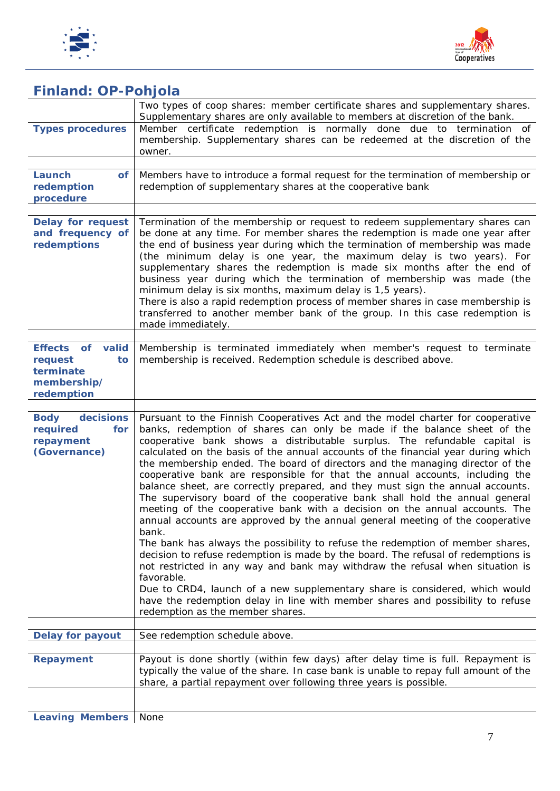



#### *Finland: OP-Pohjola*

|                                                                                | Two types of coop shares: member certificate shares and supplementary shares.<br>Supplementary shares are only available to members at discretion of the bank.                                                                                                                                                                                                                                                                                                                                                                                                                                                                                                                                                                                                                                                                                                                                                                                                                                                                                                                                                                                                                                                                                                                                                     |
|--------------------------------------------------------------------------------|--------------------------------------------------------------------------------------------------------------------------------------------------------------------------------------------------------------------------------------------------------------------------------------------------------------------------------------------------------------------------------------------------------------------------------------------------------------------------------------------------------------------------------------------------------------------------------------------------------------------------------------------------------------------------------------------------------------------------------------------------------------------------------------------------------------------------------------------------------------------------------------------------------------------------------------------------------------------------------------------------------------------------------------------------------------------------------------------------------------------------------------------------------------------------------------------------------------------------------------------------------------------------------------------------------------------|
| <b>Types procedures</b>                                                        | Member certificate redemption is normally done due to termination of<br>membership. Supplementary shares can be redeemed at the discretion of the<br>owner.                                                                                                                                                                                                                                                                                                                                                                                                                                                                                                                                                                                                                                                                                                                                                                                                                                                                                                                                                                                                                                                                                                                                                        |
|                                                                                |                                                                                                                                                                                                                                                                                                                                                                                                                                                                                                                                                                                                                                                                                                                                                                                                                                                                                                                                                                                                                                                                                                                                                                                                                                                                                                                    |
| Launch<br><b>of</b><br>redemption<br>procedure                                 | Members have to introduce a formal request for the termination of membership or<br>redemption of supplementary shares at the cooperative bank                                                                                                                                                                                                                                                                                                                                                                                                                                                                                                                                                                                                                                                                                                                                                                                                                                                                                                                                                                                                                                                                                                                                                                      |
|                                                                                |                                                                                                                                                                                                                                                                                                                                                                                                                                                                                                                                                                                                                                                                                                                                                                                                                                                                                                                                                                                                                                                                                                                                                                                                                                                                                                                    |
| <b>Delay for request</b><br>and frequency of<br>redemptions                    | Termination of the membership or request to redeem supplementary shares can<br>be done at any time. For member shares the redemption is made one year after<br>the end of business year during which the termination of membership was made<br>(the minimum delay is one year, the maximum delay is two years). For<br>supplementary shares the redemption is made six months after the end of<br>business year during which the termination of membership was made (the<br>minimum delay is six months, maximum delay is 1,5 years).<br>There is also a rapid redemption process of member shares in case membership is<br>transferred to another member bank of the group. In this case redemption is<br>made immediately.                                                                                                                                                                                                                                                                                                                                                                                                                                                                                                                                                                                       |
|                                                                                |                                                                                                                                                                                                                                                                                                                                                                                                                                                                                                                                                                                                                                                                                                                                                                                                                                                                                                                                                                                                                                                                                                                                                                                                                                                                                                                    |
| Effects of<br>valid<br>request<br>to<br>terminate<br>membership/<br>redemption | Membership is terminated immediately when member's request to terminate<br>membership is received. Redemption schedule is described above.                                                                                                                                                                                                                                                                                                                                                                                                                                                                                                                                                                                                                                                                                                                                                                                                                                                                                                                                                                                                                                                                                                                                                                         |
| decisions<br><b>Body</b><br>required<br>for<br>repayment<br>(Governance)       | Pursuant to the Finnish Cooperatives Act and the model charter for cooperative<br>banks, redemption of shares can only be made if the balance sheet of the<br>cooperative bank shows a distributable surplus. The refundable capital is<br>calculated on the basis of the annual accounts of the financial year during which<br>the membership ended. The board of directors and the managing director of the<br>cooperative bank are responsible for that the annual accounts, including the<br>balance sheet, are correctly prepared, and they must sign the annual accounts.<br>The supervisory board of the cooperative bank shall hold the annual general<br>meeting of the cooperative bank with a decision on the annual accounts. The<br>annual accounts are approved by the annual general meeting of the cooperative<br>bank.<br>The bank has always the possibility to refuse the redemption of member shares,<br>decision to refuse redemption is made by the board. The refusal of redemptions is<br>not restricted in any way and bank may withdraw the refusal when situation is<br>favorable.<br>Due to CRD4, launch of a new supplementary share is considered, which would<br>have the redemption delay in line with member shares and possibility to refuse<br>redemption as the member shares. |
| <b>Delay for payout</b>                                                        | See redemption schedule above.                                                                                                                                                                                                                                                                                                                                                                                                                                                                                                                                                                                                                                                                                                                                                                                                                                                                                                                                                                                                                                                                                                                                                                                                                                                                                     |
|                                                                                |                                                                                                                                                                                                                                                                                                                                                                                                                                                                                                                                                                                                                                                                                                                                                                                                                                                                                                                                                                                                                                                                                                                                                                                                                                                                                                                    |
| <b>Repayment</b>                                                               | Payout is done shortly (within few days) after delay time is full. Repayment is<br>typically the value of the share. In case bank is unable to repay full amount of the<br>share, a partial repayment over following three years is possible.                                                                                                                                                                                                                                                                                                                                                                                                                                                                                                                                                                                                                                                                                                                                                                                                                                                                                                                                                                                                                                                                      |
|                                                                                |                                                                                                                                                                                                                                                                                                                                                                                                                                                                                                                                                                                                                                                                                                                                                                                                                                                                                                                                                                                                                                                                                                                                                                                                                                                                                                                    |
| <b>Leaving Members</b>                                                         | None                                                                                                                                                                                                                                                                                                                                                                                                                                                                                                                                                                                                                                                                                                                                                                                                                                                                                                                                                                                                                                                                                                                                                                                                                                                                                                               |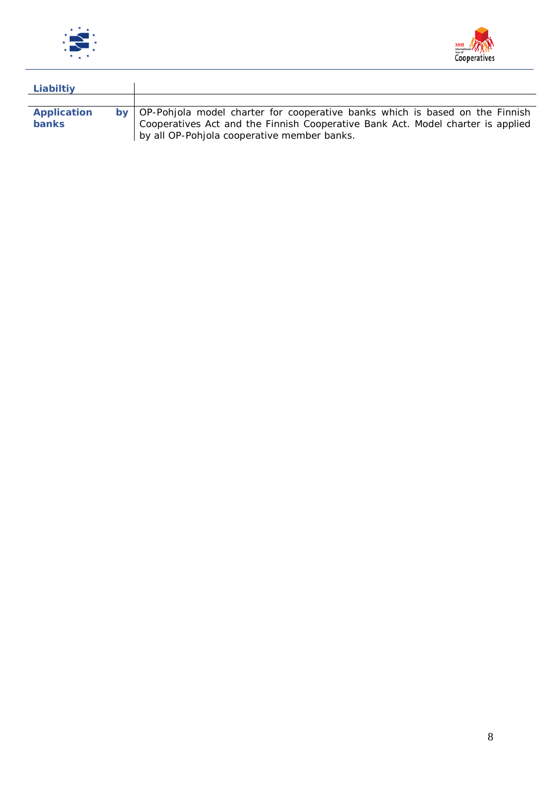



| Liabiltiy                   |                                                                                                                                                                                                                     |
|-----------------------------|---------------------------------------------------------------------------------------------------------------------------------------------------------------------------------------------------------------------|
|                             |                                                                                                                                                                                                                     |
| Application<br><b>banks</b> | by   OP-Pohjola model charter for cooperative banks which is based on the Finnish<br>Cooperatives Act and the Finnish Cooperative Bank Act. Model charter is applied<br>by all OP-Pohjola cooperative member banks. |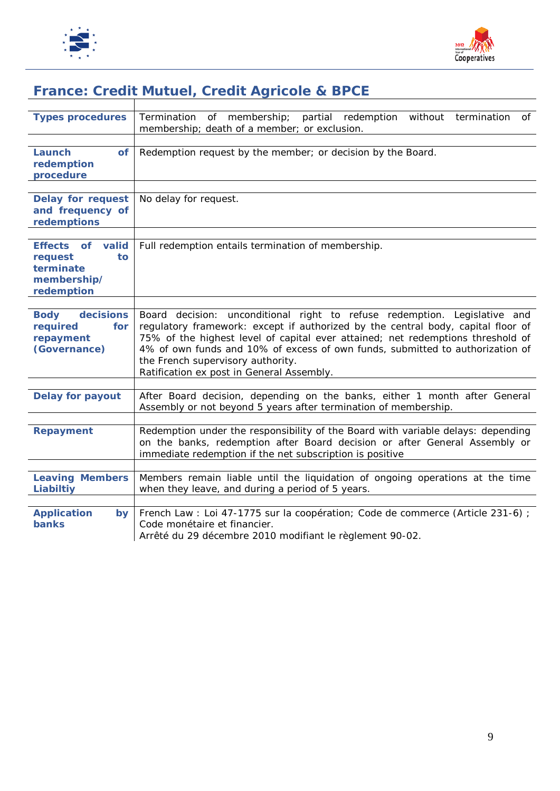



## *France: Credit Mutuel, Credit Agricole & BPCE*

| <b>Types procedures</b>                                                        | of membership; partial redemption without termination<br>Termination<br>of<br>membership; death of a member; or exclusion.                                                                                                                                                                                                                                                                                          |
|--------------------------------------------------------------------------------|---------------------------------------------------------------------------------------------------------------------------------------------------------------------------------------------------------------------------------------------------------------------------------------------------------------------------------------------------------------------------------------------------------------------|
| Launch<br>of<br>redemption<br>procedure                                        | Redemption request by the member; or decision by the Board.                                                                                                                                                                                                                                                                                                                                                         |
| <b>Delay for request</b><br>and frequency of<br>redemptions                    | No delay for request.                                                                                                                                                                                                                                                                                                                                                                                               |
| valid<br>Effects of<br>request<br>to<br>terminate<br>membership/<br>redemption | Full redemption entails termination of membership.                                                                                                                                                                                                                                                                                                                                                                  |
| decisions<br><b>Body</b><br>required<br>for<br>repayment<br>(Governance)       | Board decision: unconditional right to refuse redemption. Legislative and<br>regulatory framework: except if authorized by the central body, capital floor of<br>75% of the highest level of capital ever attained; net redemptions threshold of<br>4% of own funds and 10% of excess of own funds, submitted to authorization of<br>the French supervisory authority.<br>Ratification ex post in General Assembly. |
| <b>Delay for payout</b>                                                        | After Board decision, depending on the banks, either 1 month after General<br>Assembly or not beyond 5 years after termination of membership.                                                                                                                                                                                                                                                                       |
| <b>Repayment</b>                                                               | Redemption under the responsibility of the Board with variable delays: depending<br>on the banks, redemption after Board decision or after General Assembly or<br>immediate redemption if the net subscription is positive                                                                                                                                                                                          |
| <b>Leaving Members</b><br>Liabiltiy                                            | Members remain liable until the liquidation of ongoing operations at the time<br>when they leave, and during a period of 5 years.                                                                                                                                                                                                                                                                                   |
| <b>Application</b><br>by<br><b>banks</b>                                       | French Law: Loi 47-1775 sur la coopération; Code de commerce (Article 231-6) ;<br>Code monétaire et financier.<br>Arrêté du 29 décembre 2010 modifiant le règlement 90-02.                                                                                                                                                                                                                                          |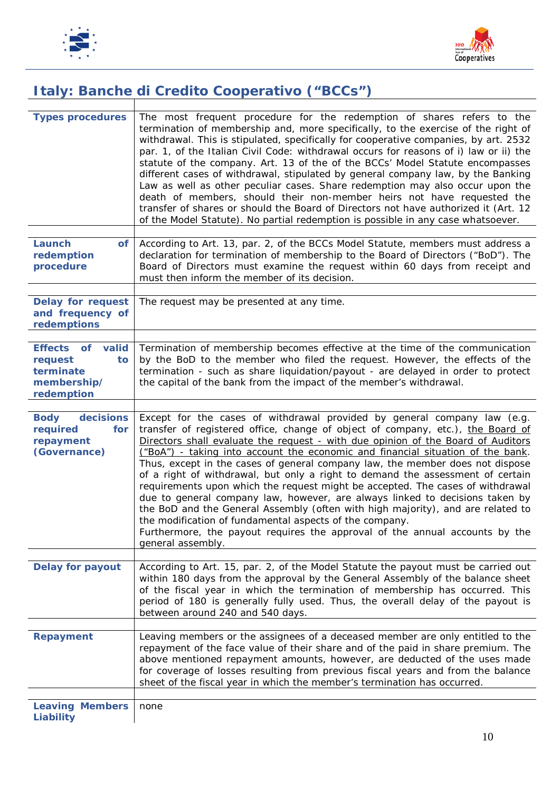



# *Italy: Banche di Credito Cooperativo ("BCCs")*

| <b>Types procedures</b>                                                        | The most frequent procedure for the redemption of shares refers to the<br>termination of membership and, more specifically, to the exercise of the right of<br>withdrawal. This is stipulated, specifically for cooperative companies, by art. 2532<br>par. 1, of the Italian Civil Code: withdrawal occurs for reasons of $\hat{\theta}$ law or $\hat{\theta}$ the<br>statute of the company. Art. 13 of the of the BCCs' Model Statute encompasses<br>different cases of withdrawal, stipulated by general company law, by the Banking<br>Law as well as other peculiar cases. Share redemption may also occur upon the<br>death of members, should their non-member heirs not have requested the<br>transfer of shares or should the Board of Directors not have authorized it (Art. 12)<br>of the Model Statute). No partial redemption is possible in any case whatsoever.                                           |
|--------------------------------------------------------------------------------|---------------------------------------------------------------------------------------------------------------------------------------------------------------------------------------------------------------------------------------------------------------------------------------------------------------------------------------------------------------------------------------------------------------------------------------------------------------------------------------------------------------------------------------------------------------------------------------------------------------------------------------------------------------------------------------------------------------------------------------------------------------------------------------------------------------------------------------------------------------------------------------------------------------------------|
| Launch<br><b>of</b><br>redemption<br>procedure                                 | According to Art. 13, par. 2, of the BCCs Model Statute, members must address a<br>declaration for termination of membership to the Board of Directors ("BoD"). The<br>Board of Directors must examine the request within 60 days from receipt and<br>must then inform the member of its decision.                                                                                                                                                                                                                                                                                                                                                                                                                                                                                                                                                                                                                        |
| <b>Delay for request</b><br>and frequency of<br>redemptions                    | The request may be presented at any time.                                                                                                                                                                                                                                                                                                                                                                                                                                                                                                                                                                                                                                                                                                                                                                                                                                                                                 |
| Effects of<br>valid<br>request<br>to<br>terminate<br>membership/<br>redemption | Termination of membership becomes effective at the time of the communication<br>by the BoD to the member who filed the request. However, the effects of the<br>termination - such as share liquidation/payout - are delayed in order to protect<br>the capital of the bank from the impact of the member's withdrawal.                                                                                                                                                                                                                                                                                                                                                                                                                                                                                                                                                                                                    |
| <b>Body</b><br>decisions<br>required<br>for<br>repayment<br>(Governance)       | Except for the cases of withdrawal provided by general company law (e.g.<br>transfer of registered office, change of object of company, etc.), the Board of<br>Directors shall evaluate the request - with due opinion of the Board of Auditors<br>("BoA") - taking into account the economic and financial situation of the bank.<br>Thus, except in the cases of general company law, the member does not dispose<br>of a right of withdrawal, but only a right to demand the assessment of certain<br>requirements upon which the request might be accepted. The cases of withdrawal<br>due to general company law, however, are always linked to decisions taken by<br>the BoD and the General Assembly (often with high majority), and are related to<br>the modification of fundamental aspects of the company.<br>Furthermore, the payout requires the approval of the annual accounts by the<br>general assembly. |
| <b>Delay for payout</b>                                                        | According to Art. 15, par. 2, of the Model Statute the payout must be carried out<br>within 180 days from the approval by the General Assembly of the balance sheet<br>of the fiscal year in which the termination of membership has occurred. This<br>period of 180 is generally fully used. Thus, the overall delay of the payout is<br>between around 240 and 540 days.                                                                                                                                                                                                                                                                                                                                                                                                                                                                                                                                                |
| <b>Repayment</b>                                                               | Leaving members or the assignees of a deceased member are only entitled to the<br>repayment of the face value of their share and of the paid in share premium. The<br>above mentioned repayment amounts, however, are deducted of the uses made<br>for coverage of losses resulting from previous fiscal years and from the balance<br>sheet of the fiscal year in which the member's termination has occurred.                                                                                                                                                                                                                                                                                                                                                                                                                                                                                                           |
| <b>Leaving Members</b><br>Liability                                            | none                                                                                                                                                                                                                                                                                                                                                                                                                                                                                                                                                                                                                                                                                                                                                                                                                                                                                                                      |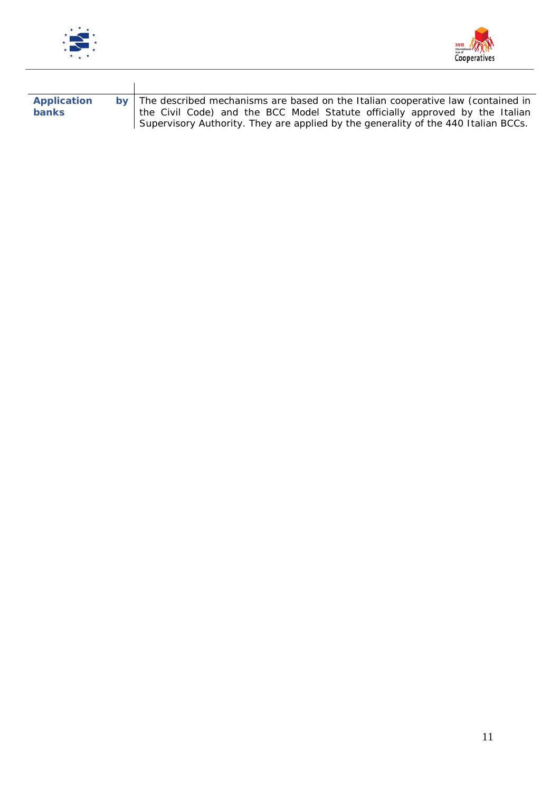



| Application<br><b>banks</b> | by The described mechanisms are based on the Italian cooperative law (contained in<br>the Civil Code) and the BCC Model Statute officially approved by the Italian<br>Supervisory Authority. They are applied by the generality of the 440 Italian BCCs. |
|-----------------------------|----------------------------------------------------------------------------------------------------------------------------------------------------------------------------------------------------------------------------------------------------------|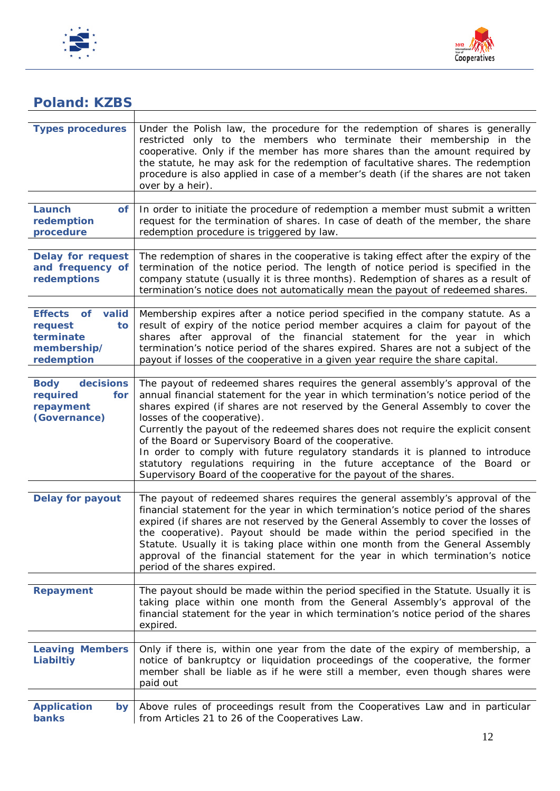



#### *Poland: KZBS*

| <b>Types procedures</b>                                                        | Under the Polish law, the procedure for the redemption of shares is generally<br>restricted only to the members who terminate their membership in the<br>cooperative. Only if the member has more shares than the amount required by<br>the statute, he may ask for the redemption of facultative shares. The redemption<br>procedure is also applied in case of a member's death (if the shares are not taken<br>over by a heir).                                                                                                                                                                                                                                       |
|--------------------------------------------------------------------------------|--------------------------------------------------------------------------------------------------------------------------------------------------------------------------------------------------------------------------------------------------------------------------------------------------------------------------------------------------------------------------------------------------------------------------------------------------------------------------------------------------------------------------------------------------------------------------------------------------------------------------------------------------------------------------|
| Launch<br>of<br>redemption<br>procedure                                        | In order to initiate the procedure of redemption a member must submit a written<br>request for the termination of shares. In case of death of the member, the share<br>redemption procedure is triggered by law.                                                                                                                                                                                                                                                                                                                                                                                                                                                         |
| <b>Delay for request</b><br>and frequency of<br>redemptions                    | The redemption of shares in the cooperative is taking effect after the expiry of the<br>termination of the notice period. The length of notice period is specified in the<br>company statute (usually it is three months). Redemption of shares as a result of<br>termination's notice does not automatically mean the payout of redeemed shares.                                                                                                                                                                                                                                                                                                                        |
| Effects of<br>valid<br>request<br>to<br>terminate<br>membership/<br>redemption | Membership expires after a notice period specified in the company statute. As a<br>result of expiry of the notice period member acquires a claim for payout of the<br>shares after approval of the financial statement for the year in which<br>termination's notice period of the shares expired. Shares are not a subject of the<br>payout if losses of the cooperative in a given year require the share capital.                                                                                                                                                                                                                                                     |
| decisions<br><b>Body</b><br>required<br>for<br>repayment<br>(Governance)       | The payout of redeemed shares requires the general assembly's approval of the<br>annual financial statement for the year in which termination's notice period of the<br>shares expired (if shares are not reserved by the General Assembly to cover the<br>losses of the cooperative).<br>Currently the payout of the redeemed shares does not require the explicit consent<br>of the Board or Supervisory Board of the cooperative.<br>In order to comply with future regulatory standards it is planned to introduce<br>statutory regulations requiring in the future acceptance of the Board or<br>Supervisory Board of the cooperative for the payout of the shares. |
| <b>Delay for payout</b>                                                        | The payout of redeemed shares requires the general assembly's approval of the<br>financial statement for the year in which termination's notice period of the shares<br>expired (if shares are not reserved by the General Assembly to cover the losses of<br>the cooperative). Payout should be made within the period specified in the<br>Statute. Usually it is taking place within one month from the General Assembly<br>approval of the financial statement for the year in which termination's notice<br>period of the shares expired.                                                                                                                            |
| <b>Repayment</b>                                                               | The payout should be made within the period specified in the Statute. Usually it is<br>taking place within one month from the General Assembly's approval of the<br>financial statement for the year in which termination's notice period of the shares<br>expired.                                                                                                                                                                                                                                                                                                                                                                                                      |
| <b>Leaving Members</b><br>Liabiltiy                                            | Only if there is, within one year from the date of the expiry of membership, a<br>notice of bankruptcy or liquidation proceedings of the cooperative, the former<br>member shall be liable as if he were still a member, even though shares were<br>paid out                                                                                                                                                                                                                                                                                                                                                                                                             |
| <b>Application</b><br><b>by</b><br>banks                                       | Above rules of proceedings result from the Cooperatives Law and in particular<br>from Articles 21 to 26 of the Cooperatives Law.                                                                                                                                                                                                                                                                                                                                                                                                                                                                                                                                         |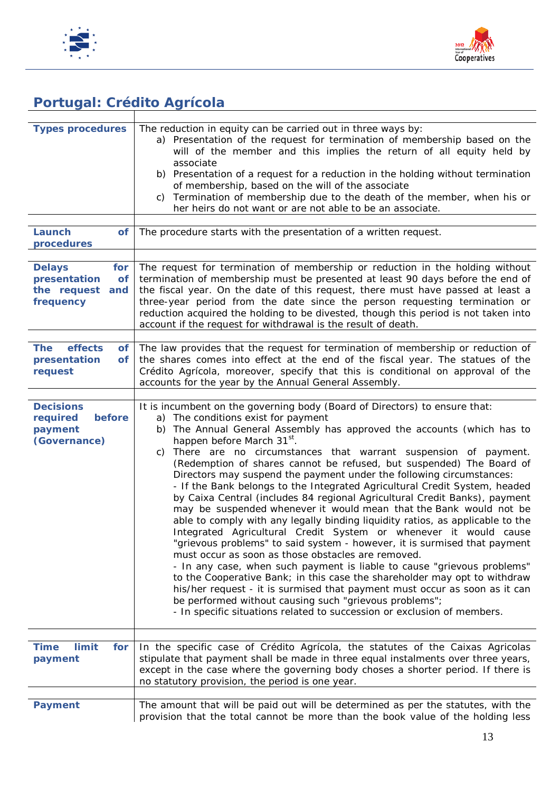



## *Portugal: Crédito Agrícola*

| <b>Types procedures</b>                                                          | The reduction in equity can be carried out in three ways by:<br>a) Presentation of the request for termination of membership based on the<br>will of the member and this implies the return of all equity held by<br>associate<br>b) Presentation of a request for a reduction in the holding without termination<br>of membership, based on the will of the associate<br>c) Termination of membership due to the death of the member, when his or<br>her heirs do not want or are not able to be an associate.                                                                                                                                                                                                                                                                                                                                                                                                                                                                                                                                                                                                                                                                                                                                                                                                                                                        |
|----------------------------------------------------------------------------------|------------------------------------------------------------------------------------------------------------------------------------------------------------------------------------------------------------------------------------------------------------------------------------------------------------------------------------------------------------------------------------------------------------------------------------------------------------------------------------------------------------------------------------------------------------------------------------------------------------------------------------------------------------------------------------------------------------------------------------------------------------------------------------------------------------------------------------------------------------------------------------------------------------------------------------------------------------------------------------------------------------------------------------------------------------------------------------------------------------------------------------------------------------------------------------------------------------------------------------------------------------------------------------------------------------------------------------------------------------------------|
| Launch<br>of<br>procedures                                                       | The procedure starts with the presentation of a written request.                                                                                                                                                                                                                                                                                                                                                                                                                                                                                                                                                                                                                                                                                                                                                                                                                                                                                                                                                                                                                                                                                                                                                                                                                                                                                                       |
| <b>Delays</b><br>for<br>presentation<br>of<br>the request<br>and<br>frequency    | The request for termination of membership or reduction in the holding without<br>termination of membership must be presented at least 90 days before the end of<br>the fiscal year. On the date of this request, there must have passed at least a<br>three-year period from the date since the person requesting termination or<br>reduction acquired the holding to be divested, though this period is not taken into<br>account if the request for withdrawal is the result of death.                                                                                                                                                                                                                                                                                                                                                                                                                                                                                                                                                                                                                                                                                                                                                                                                                                                                               |
| effects<br><b>The</b><br>of <sub>1</sub><br>presentation<br><b>of</b><br>request | The law provides that the request for termination of membership or reduction of<br>the shares comes into effect at the end of the fiscal year. The statues of the<br>Crédito Agrícola, moreover, specify that this is conditional on approval of the<br>accounts for the year by the Annual General Assembly.                                                                                                                                                                                                                                                                                                                                                                                                                                                                                                                                                                                                                                                                                                                                                                                                                                                                                                                                                                                                                                                          |
|                                                                                  |                                                                                                                                                                                                                                                                                                                                                                                                                                                                                                                                                                                                                                                                                                                                                                                                                                                                                                                                                                                                                                                                                                                                                                                                                                                                                                                                                                        |
| <b>Decisions</b><br>required<br>before<br>payment<br>(Governance)                | It is incumbent on the governing body (Board of Directors) to ensure that:<br>a) The conditions exist for payment<br>The Annual General Assembly has approved the accounts (which has to<br>b)<br>happen before March 31 <sup>st</sup> .<br>There are no circumstances that warrant suspension of payment.<br>C)<br>(Redemption of shares cannot be refused, but suspended) The Board of<br>Directors may suspend the payment under the following circumstances:<br>- If the Bank belongs to the Integrated Agricultural Credit System, headed<br>by Caixa Central (includes 84 regional Agricultural Credit Banks), payment<br>may be suspended whenever it would mean that the Bank would not be<br>able to comply with any legally binding liquidity ratios, as applicable to the<br>Integrated Agricultural Credit System or whenever it would cause<br>"grievous problems" to said system - however, it is surmised that payment<br>must occur as soon as those obstacles are removed.<br>- In any case, when such payment is liable to cause "grievous problems"<br>to the Cooperative Bank; in this case the shareholder may opt to withdraw<br>his/her request - it is surmised that payment must occur as soon as it can<br>be performed without causing such "grievous problems";<br>- In specific situations related to succession or exclusion of members. |
| <b>Time</b><br>limit<br>for<br>payment                                           | In the specific case of Crédito Agrícola, the statutes of the Caixas Agricolas<br>stipulate that payment shall be made in three equal instalments over three years,<br>except in the case where the governing body choses a shorter period. If there is<br>no statutory provision, the period is one year.                                                                                                                                                                                                                                                                                                                                                                                                                                                                                                                                                                                                                                                                                                                                                                                                                                                                                                                                                                                                                                                             |
| <b>Payment</b>                                                                   | The amount that will be paid out will be determined as per the statutes, with the                                                                                                                                                                                                                                                                                                                                                                                                                                                                                                                                                                                                                                                                                                                                                                                                                                                                                                                                                                                                                                                                                                                                                                                                                                                                                      |
|                                                                                  | provision that the total cannot be more than the book value of the holding less                                                                                                                                                                                                                                                                                                                                                                                                                                                                                                                                                                                                                                                                                                                                                                                                                                                                                                                                                                                                                                                                                                                                                                                                                                                                                        |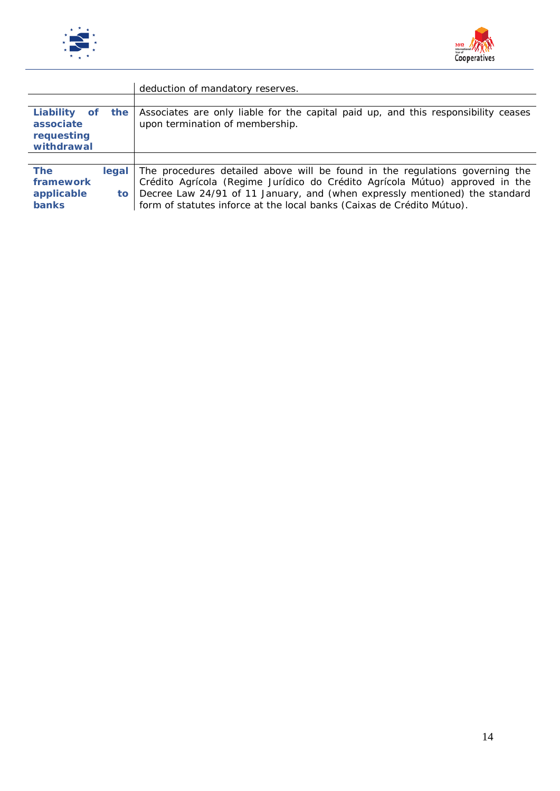



|                                                       |       | deduction of mandatory reserves.                                                                                      |
|-------------------------------------------------------|-------|-----------------------------------------------------------------------------------------------------------------------|
|                                                       |       |                                                                                                                       |
| Liability of<br>associate<br>requesting<br>withdrawal | the   | Associates are only liable for the capital paid up, and this responsibility ceases<br>upon termination of membership. |
|                                                       |       |                                                                                                                       |
| <b>The</b>                                            | leaal | The procedures detailed above will be found in the regulations governing the                                          |
| framework                                             |       | Crédito Agrícola (Regime Jurídico do Crédito Agrícola Mútuo) approved in the                                          |
| applicable                                            | to    | Decree Law 24/91 of 11 January, and (when expressly mentioned) the standard                                           |
| <b>banks</b>                                          |       | form of statutes inforce at the local banks (Caixas de Crédito Mútuo).                                                |